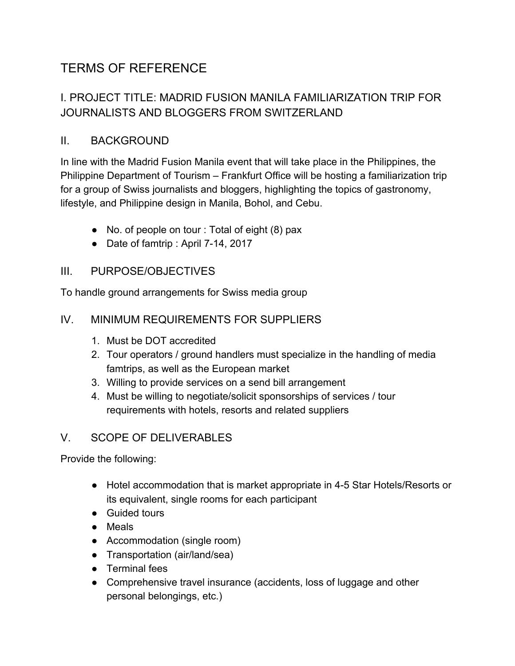# TERMS OF REFERENCE

# I. PROJECT TITLE: MADRID FUSION MANILA FAMILIARIZATION TRIP FOR JOURNALISTS AND BLOGGERS FROM SWITZERLAND

## II. BACKGROUND

In line with the Madrid Fusion Manila event that will take place in the Philippines, the Philippine Department of Tourism – Frankfurt Office will be hosting a familiarization trip for a group of Swiss journalists and bloggers, highlighting the topics of gastronomy, lifestyle, and Philippine design in Manila, Bohol, and Cebu.

- No. of people on tour : Total of eight (8) pax
- Date of famtrip : April 7-14, 2017

#### III. PURPOSE/OBJECTIVES

To handle ground arrangements for Swiss media group

#### IV. MINIMUM REQUIREMENTS FOR SUPPLIERS

- 1. Must be DOT accredited
- 2. Tour operators / ground handlers must specialize in the handling of media famtrips, as well as the European market
- 3. Willing to provide services on a send bill arrangement
- 4. Must be willing to negotiate/solicit sponsorships of services / tour requirements with hotels, resorts and related suppliers

### V. SCOPE OF DELIVERABLES

Provide the following:

- Hotel accommodation that is market appropriate in 4-5 Star Hotels/Resorts or its equivalent, single rooms for each participant
- Guided tours
- Meals
- Accommodation (single room)
- Transportation (air/land/sea)
- Terminal fees
- Comprehensive travel insurance (accidents, loss of luggage and other personal belongings, etc.)